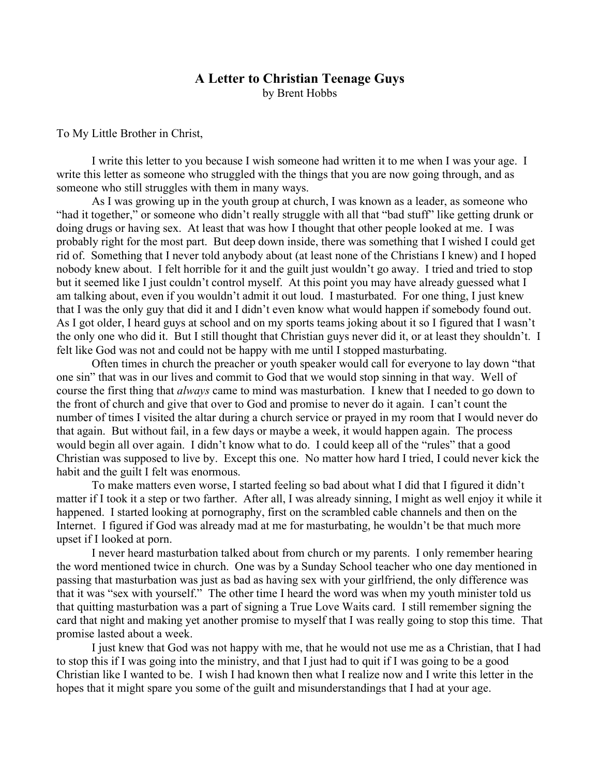## **A Letter to Christian Teenage Guys** by Brent Hobbs

To My Little Brother in Christ,

I write this letter to you because I wish someone had written it to me when I was your age. I write this letter as someone who struggled with the things that you are now going through, and as someone who still struggles with them in many ways.

As I was growing up in the youth group at church, I was known as a leader, as someone who "had it together," or someone who didn't really struggle with all that "bad stuff" like getting drunk or doing drugs or having sex. At least that was how I thought that other people looked at me. I was probably right for the most part. But deep down inside, there was something that I wished I could get rid of. Something that I never told anybody about (at least none of the Christians I knew) and I hoped nobody knew about. I felt horrible for it and the guilt just wouldn't go away. I tried and tried to stop but it seemed like I just couldn't control myself. At this point you may have already guessed what I am talking about, even if you wouldn't admit it out loud. I masturbated. For one thing, I just knew that I was the only guy that did it and I didn't even know what would happen if somebody found out. As I got older, I heard guys at school and on my sports teams joking about it so I figured that I wasn't the only one who did it. But I still thought that Christian guys never did it, or at least they shouldn't. I felt like God was not and could not be happy with me until I stopped masturbating.

Often times in church the preacher or youth speaker would call for everyone to lay down "that one sin" that was in our lives and commit to God that we would stop sinning in that way. Well of course the first thing that *always* came to mind was masturbation. I knew that I needed to go down to the front of church and give that over to God and promise to never do it again. I can't count the number of times I visited the altar during a church service or prayed in my room that I would never do that again. But without fail, in a few days or maybe a week, it would happen again. The process would begin all over again. I didn't know what to do. I could keep all of the "rules" that a good Christian was supposed to live by. Except this one. No matter how hard I tried, I could never kick the habit and the guilt I felt was enormous.

To make matters even worse, I started feeling so bad about what I did that I figured it didn't matter if I took it a step or two farther. After all, I was already sinning, I might as well enjoy it while it happened. I started looking at pornography, first on the scrambled cable channels and then on the Internet. I figured if God was already mad at me for masturbating, he wouldn't be that much more upset if I looked at porn.

I never heard masturbation talked about from church or my parents. I only remember hearing the word mentioned twice in church. One was by a Sunday School teacher who one day mentioned in passing that masturbation was just as bad as having sex with your girlfriend, the only difference was that it was "sex with yourself." The other time I heard the word was when my youth minister told us that quitting masturbation was a part of signing a True Love Waits card. I still remember signing the card that night and making yet another promise to myself that I was really going to stop this time. That promise lasted about a week.

I just knew that God was not happy with me, that he would not use me as a Christian, that I had to stop this if I was going into the ministry, and that I just had to quit if I was going to be a good Christian like I wanted to be. I wish I had known then what I realize now and I write this letter in the hopes that it might spare you some of the guilt and misunderstandings that I had at your age.